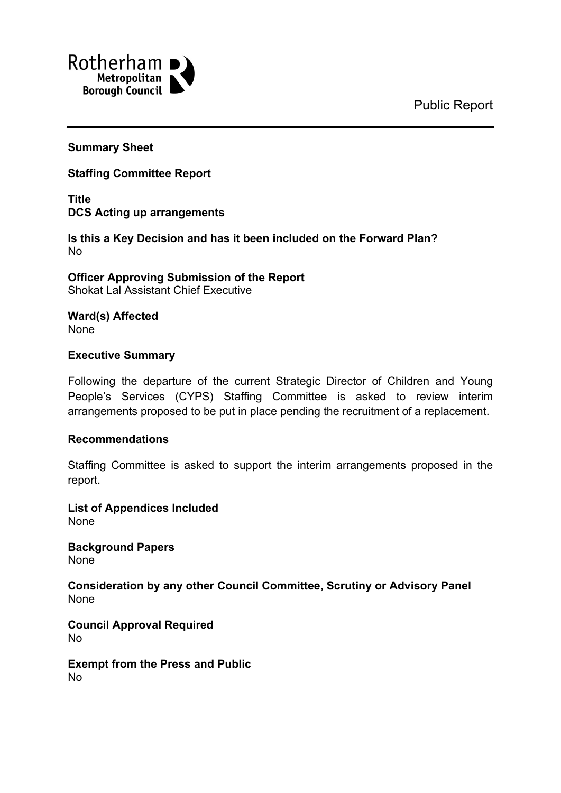Public Report



### **Summary Sheet**

**Staffing Committee Report**

**Title DCS Acting up arrangements**

**Is this a Key Decision and has it been included on the Forward Plan?** No

**Officer Approving Submission of the Report** Shokat Lal Assistant Chief Executive

**Ward(s) Affected** None

### **Executive Summary**

Following the departure of the current Strategic Director of Children and Young People's Services (CYPS) Staffing Committee is asked to review interim arrangements proposed to be put in place pending the recruitment of a replacement.

### **Recommendations**

Staffing Committee is asked to support the interim arrangements proposed in the report.

**List of Appendices Included** None

**Background Papers** None

**Consideration by any other Council Committee, Scrutiny or Advisory Panel** None

**Council Approval Required** No

**Exempt from the Press and Public** No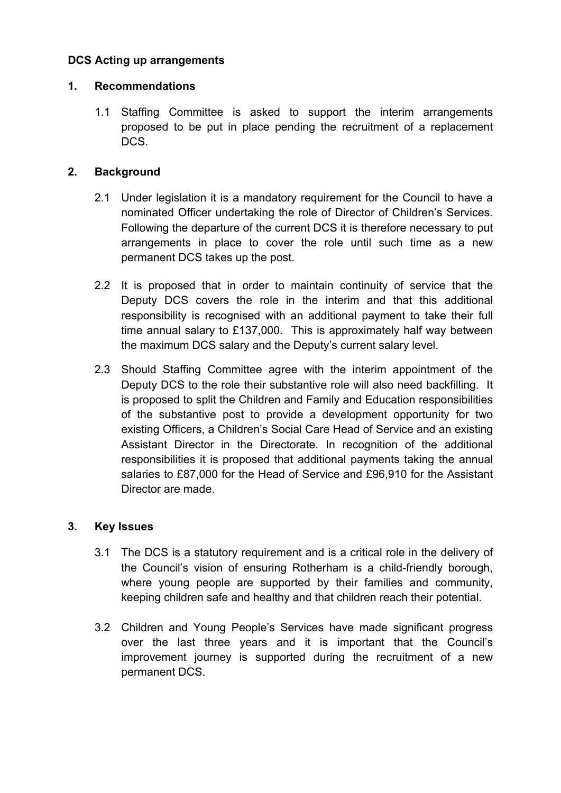# **DCS Acting up arrangements**

# **1. Recommendations**

1.1 Staffing Committee is asked to support the interim arrangements proposed to be put in place pending the recruitment of a replacement DCS.

# **2. Background**

- 2.1 Under legislation it is a mandatory requirement for the Council to have a nominated Officer undertaking the role of Director of Children's Services. Following the departure of the current DCS it is therefore necessary to put arrangements in place to cover the role until such time as a new permanent DCS takes up the post.
- 2.2 It is proposed that in order to maintain continuity of service that the Deputy DCS covers the role in the interim and that this additional responsibility is recognised with an additional payment to take their full time annual salary to £137,000. This is approximately half way between the maximum DCS salary and the Deputy's current salary level.
- 2.3 Should Staffing Committee agree with the interim appointment of the Deputy DCS to the role their substantive role will also need backfilling. It is proposed to split the Children and Family and Education responsibilities of the substantive post to provide a development opportunity for two existing Officers, a Children's Social Care Head of Service and an existing Assistant Director in the Directorate. In recognition of the additional responsibilities it is proposed that additional payments taking the annual salaries to £87,000 for the Head of Service and £96,910 for the Assistant Director are made.

# **3. Key Issues**

- 3.1 The DCS is a statutory requirement and is a critical role in the delivery of the Council's vision of ensuring Rotherham is a child-friendly borough, where young people are supported by their families and community, keeping children safe and healthy and that children reach their potential.
- 3.2 Children and Young People's Services have made significant progress over the last three years and it is important that the Council's improvement journey is supported during the recruitment of a new permanent DCS.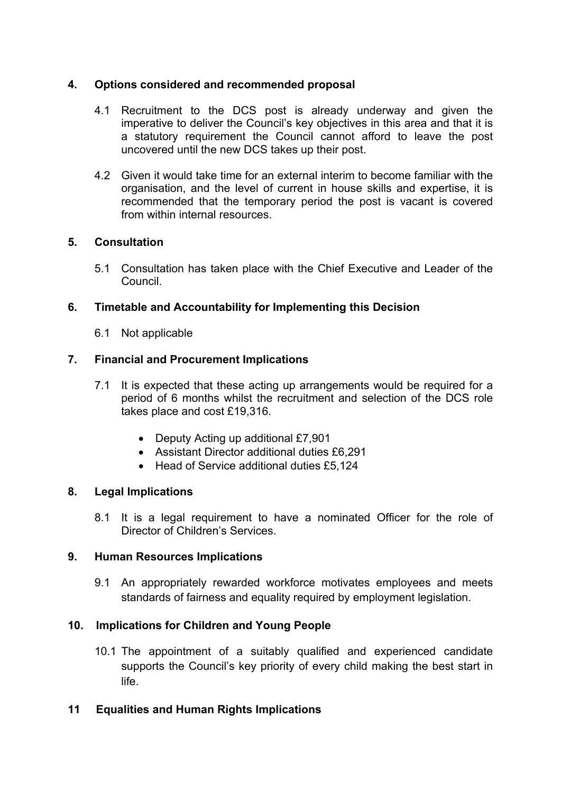## **4. Options considered and recommended proposal**

- 4.1 Recruitment to the DCS post is already underway and given the imperative to deliver the Council's key objectives in this area and that it is a statutory requirement the Council cannot afford to leave the post uncovered until the new DCS takes up their post.
- 4.2 Given it would take time for an external interim to become familiar with the organisation, and the level of current in house skills and expertise, it is recommended that the temporary period the post is vacant is covered from within internal resources.

### **5. Consultation**

5.1 Consultation has taken place with the Chief Executive and Leader of the Council.

### **6. Timetable and Accountability for Implementing this Decision**

6.1 Not applicable

### **7. Financial and Procurement Implications**

- 7.1 It is expected that these acting up arrangements would be required for a period of 6 months whilst the recruitment and selection of the DCS role takes place and cost £19,316.
	- Deputy Acting up additional £7,901
	- Assistant Director additional duties £6,291
	- Head of Service additional duties £5,124

### **8. Legal Implications**

8.1 It is a legal requirement to have a nominated Officer for the role of Director of Children's Services.

### **9. Human Resources Implications**

9.1 An appropriately rewarded workforce motivates employees and meets standards of fairness and equality required by employment legislation.

### **10. Implications for Children and Young People**

10.1 The appointment of a suitably qualified and experienced candidate supports the Council's key priority of every child making the best start in life.

### **11 Equalities and Human Rights Implications**